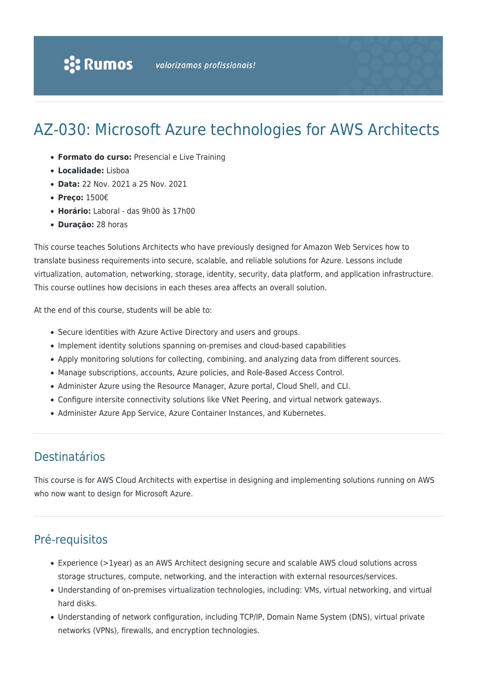# AZ-030: Microsoft Azure technologies for AWS Architects

- **Formato do curso:** Presencial e Live Training
- **Localidade:** Lisboa
- **Data:** 22 Nov. 2021 a 25 Nov. 2021
- **Preço:** 1500€
- **Horário:** Laboral das 9h00 às 17h00
- **Duração:** 28 horas

This course teaches Solutions Architects who have previously designed for Amazon Web Services how to translate business requirements into secure, scalable, and reliable solutions for Azure. Lessons include virtualization, automation, networking, storage, identity, security, data platform, and application infrastructure. This course outlines how decisions in each theses area affects an overall solution.

At the end of this course, students will be able to:

- Secure identities with Azure Active Directory and users and groups.
- Implement identity solutions spanning on-premises and cloud-based capabilities
- Apply monitoring solutions for collecting, combining, and analyzing data from different sources.
- Manage subscriptions, accounts, Azure policies, and Role-Based Access Control.
- Administer Azure using the Resource Manager, Azure portal, Cloud Shell, and CLI.
- Configure intersite connectivity solutions like VNet Peering, and virtual network gateways.
- Administer Azure App Service, Azure Container Instances, and Kubernetes.

# Destinatários

This course is for AWS Cloud Architects with expertise in designing and implementing solutions running on AWS who now want to design for Microsoft Azure.

# Pré-requisitos

- Experience (>1year) as an AWS Architect designing secure and scalable AWS cloud solutions across storage structures, compute, networking, and the interaction with external resources/services.
- Understanding of on-premises virtualization technologies, including: VMs, virtual networking, and virtual hard disks.
- Understanding of network configuration, including TCP/IP, Domain Name System (DNS), virtual private networks (VPNs), firewalls, and encryption technologies.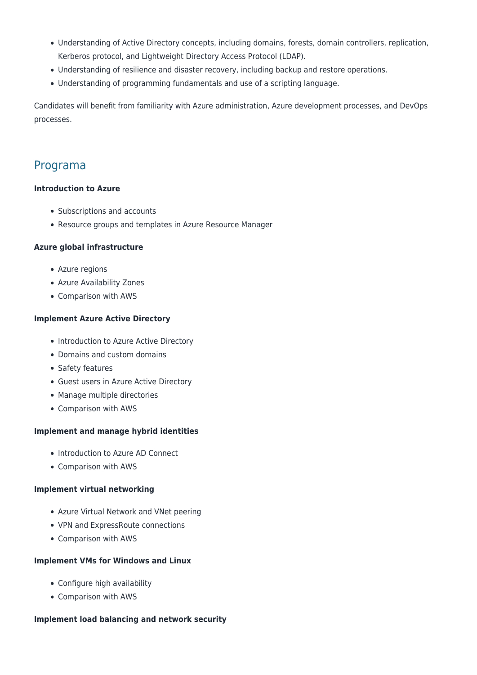- Understanding of Active Directory concepts, including domains, forests, domain controllers, replication, Kerberos protocol, and Lightweight Directory Access Protocol (LDAP).
- Understanding of resilience and disaster recovery, including backup and restore operations.
- Understanding of programming fundamentals and use of a scripting language.

Candidates will benefit from familiarity with Azure administration, Azure development processes, and DevOps processes.

# Programa

### **Introduction to Azure**

- Subscriptions and accounts
- Resource groups and templates in Azure Resource Manager

# **Azure global infrastructure**

- Azure regions
- Azure Availability Zones
- Comparison with AWS

# **Implement Azure Active Directory**

- Introduction to Azure Active Directory
- Domains and custom domains
- Safety features
- Guest users in Azure Active Directory
- Manage multiple directories
- Comparison with AWS

# **Implement and manage hybrid identities**

- Introduction to Azure AD Connect
- Comparison with AWS

# **Implement virtual networking**

- Azure Virtual Network and VNet peering
- VPN and ExpressRoute connections
- Comparison with AWS

#### **Implement VMs for Windows and Linux**

- Configure high availability
- Comparison with AWS

#### **Implement load balancing and network security**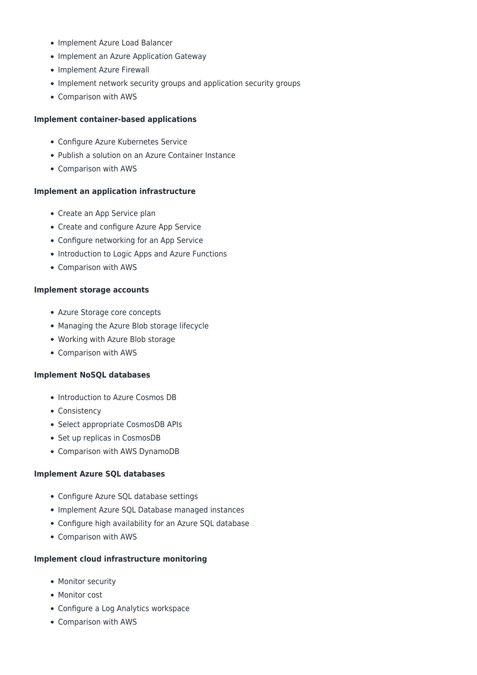- Implement Azure Load Balancer
- Implement an Azure Application Gateway
- Implement Azure Firewall
- Implement network security groups and application security groups
- Comparison with AWS

#### **Implement container-based applications**

- Configure Azure Kubernetes Service
- Publish a solution on an Azure Container Instance
- Comparison with AWS

#### **Implement an application infrastructure**

- Create an App Service plan
- Create and configure Azure App Service
- Configure networking for an App Service
- Introduction to Logic Apps and Azure Functions
- Comparison with AWS

#### **Implement storage accounts**

- Azure Storage core concepts
- Managing the Azure Blob storage lifecycle
- Working with Azure Blob storage
- Comparison with AWS

#### **Implement NoSQL databases**

- Introduction to Azure Cosmos DB
- Consistency
- Select appropriate CosmosDB APIs
- Set up replicas in CosmosDB
- Comparison with AWS DynamoDB

#### **Implement Azure SQL databases**

- Configure Azure SQL database settings
- Implement Azure SQL Database managed instances
- Configure high availability for an Azure SQL database
- Comparison with AWS

#### **Implement cloud infrastructure monitoring**

- Monitor security
- Monitor cost
- Configure a Log Analytics workspace
- Comparison with AWS